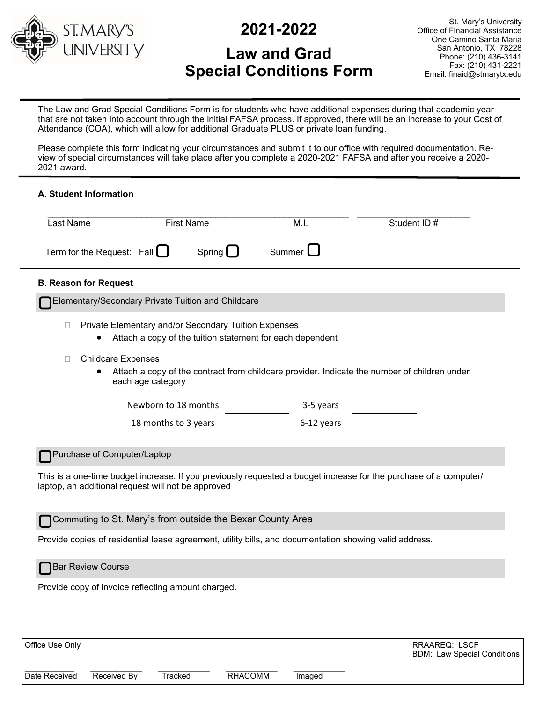

## **2021-2022**

## **Law and Grad Special Conditions Form**

St. Mary's University Office of Financial Assistance One Camino Santa Maria San Antonio, TX 78228 Phone: (210) 436-3141 Fax: (210) 431-2221 Email: finaid@stmarytx.edu

The Law and Grad Special Conditions Form is for students who have additional expenses during that academic year that are not taken into account through the initial FAFSA process. If approved, there will be an increase to your Cost of Attendance (COA), which will allow for additional Graduate PLUS or private loan funding.

Please complete this form indicating your circumstances and submit it to our office with required documentation. Review of special circumstances will take place after you complete a 2020-2021 FAFSA and after you receive a 2020- 2021 award.

| A. Student Information                                     |                      |                                                      |                                                                                                        |                                                                                                                   |
|------------------------------------------------------------|----------------------|------------------------------------------------------|--------------------------------------------------------------------------------------------------------|-------------------------------------------------------------------------------------------------------------------|
| Last Name                                                  | <b>First Name</b>    |                                                      | M.I.                                                                                                   | Student ID#                                                                                                       |
| Term for the Request: Fall $\Box$                          |                      | Spring $\square$                                     | Summer L                                                                                               |                                                                                                                   |
| <b>B. Reason for Request</b>                               |                      |                                                      |                                                                                                        |                                                                                                                   |
| Elementary/Secondary Private Tuition and Childcare         |                      |                                                      |                                                                                                        |                                                                                                                   |
| □<br>٠<br><b>Childcare Expenses</b><br>Ц                   | each age category    | Private Elementary and/or Secondary Tuition Expenses | Attach a copy of the tuition statement for each dependent                                              | Attach a copy of the contract from childcare provider. Indicate the number of children under                      |
|                                                            | Newborn to 18 months |                                                      | 3-5 years                                                                                              |                                                                                                                   |
|                                                            | 18 months to 3 years |                                                      | 6-12 years                                                                                             |                                                                                                                   |
| Purchase of Computer/Laptop                                |                      |                                                      |                                                                                                        |                                                                                                                   |
| laptop, an additional request will not be approved         |                      |                                                      |                                                                                                        | This is a one-time budget increase. If you previously requested a budget increase for the purchase of a computer/ |
| Commuting to St. Mary's from outside the Bexar County Area |                      |                                                      |                                                                                                        |                                                                                                                   |
|                                                            |                      |                                                      | Provide copies of residential lease agreement, utility bills, and documentation showing valid address. |                                                                                                                   |
| <b>Bar Review Course</b>                                   |                      |                                                      |                                                                                                        |                                                                                                                   |
| Provide copy of invoice reflecting amount charged.         |                      |                                                      |                                                                                                        |                                                                                                                   |
|                                                            |                      |                                                      |                                                                                                        |                                                                                                                   |
| Office Use Only                                            |                      |                                                      |                                                                                                        | RRAAREQ: LSCF<br><b>BDM: Law Special Conditions</b>                                                               |